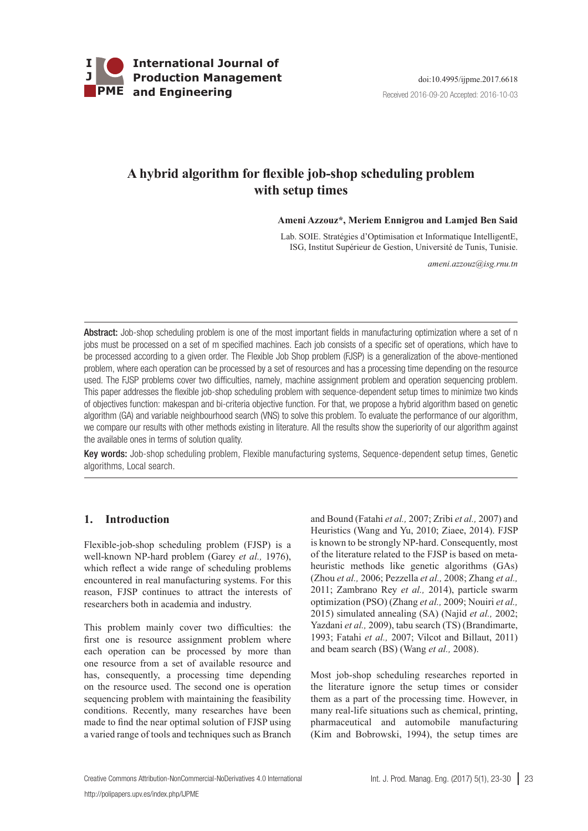

# **A hybrid algorithm for flexible job-shop scheduling problem with setup times**

 **Ameni Azzouz\*, Meriem Ennigrou and Lamjed Ben Said**

Lab. SOIE. Stratégies d'Optimisation et Informatique IntelligentE, ISG, Institut Supérieur de Gestion, Université de Tunis, Tunisie.

*ameni.azzouz@isg.rnu.tn*

Abstract: Job-shop scheduling problem is one of the most important fields in manufacturing optimization where a set of n jobs must be processed on a set of m specified machines. Each job consists of a specific set of operations, which have to be processed according to a given order. The Flexible Job Shop problem (FJSP) is a generalization of the above-mentioned problem, where each operation can be processed by a set of resources and has a processing time depending on the resource used. The FJSP problems cover two difficulties, namely, machine assignment problem and operation sequencing problem. This paper addresses the flexible job-shop scheduling problem with sequence-dependent setup times to minimize two kinds of objectives function: makespan and bi-criteria objective function. For that, we propose a hybrid algorithm based on genetic algorithm (GA) and variable neighbourhood search (VNS) to solve this problem. To evaluate the performance of our algorithm, we compare our results with other methods existing in literature. All the results show the superiority of our algorithm against the available ones in terms of solution quality.

Key words: Job-shop scheduling problem, Flexible manufacturing systems, Sequence-dependent setup times, Genetic algorithms, Local search.

## **1. Introduction**

Flexible-job-shop scheduling problem (FJSP) is a well-known NP-hard problem (Garey *et al.,* 1976), which reflect a wide range of scheduling problems encountered in real manufacturing systems. For this reason, FJSP continues to attract the interests of researchers both in academia and industry.

This problem mainly cover two difficulties: the first one is resource assignment problem where each operation can be processed by more than one resource from a set of available resource and has, consequently, a processing time depending on the resource used. The second one is operation sequencing problem with maintaining the feasibility conditions. Recently, many researches have been made to find the near optimal solution of FJSP using a varied range of tools and techniques such as Branch and Bound (Fatahi *et al.,* 2007; Zribi *et al.,* 2007) and Heuristics (Wang and Yu, 2010; Ziaee, 2014). FJSP is known to be strongly NP-hard. Consequently, most of the literature related to the FJSP is based on metaheuristic methods like genetic algorithms (GAs) (Zhou *et al.,* 2006; Pezzella *et al.,* 2008; Zhang *et al.,* 2011; Zambrano Rey *et al.,* 2014), particle swarm optimization (PSO) (Zhang *et al.,* 2009; Nouiri *et al.,* 2015) simulated annealing (SA) (Najid *et al.,* 2002; Yazdani *et al.,* 2009), tabu search (TS) (Brandimarte, 1993; Fatahi *et al.,* 2007; Vilcot and Billaut, 2011) and beam search (BS) (Wang *et al.,* 2008).

Most job-shop scheduling researches reported in the literature ignore the setup times or consider them as a part of the processing time. However, in many real-life situations such as chemical, printing, pharmaceutical and automobile manufacturing (Kim and Bobrowski, 1994), the setup times are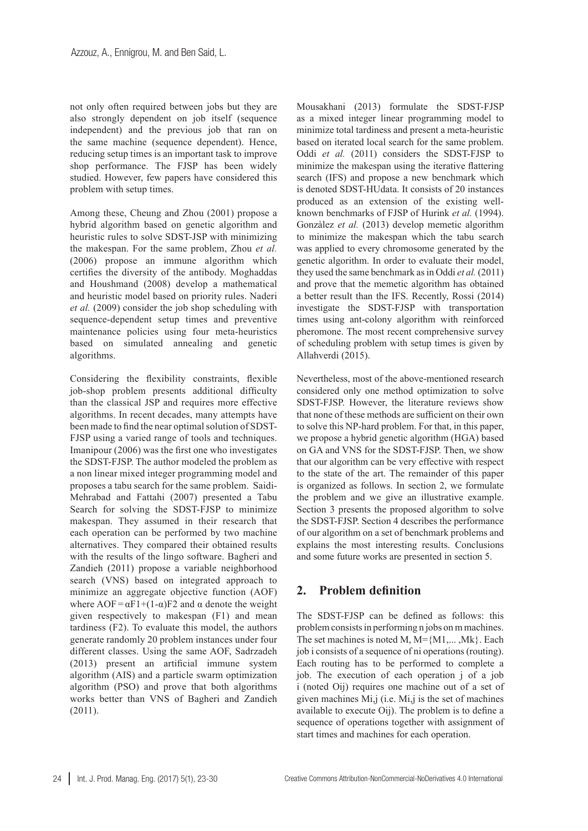not only often required between jobs but they are also strongly dependent on job itself (sequence independent) and the previous job that ran on the same machine (sequence dependent). Hence, reducing setup times is an important task to improve shop performance. The FJSP has been widely studied. However, few papers have considered this problem with setup times.

Among these, Cheung and Zhou (2001) propose a hybrid algorithm based on genetic algorithm and heuristic rules to solve SDST-JSP with minimizing the makespan. For the same problem, Zhou *et al.* (2006) propose an immune algorithm which certifies the diversity of the antibody. Moghaddas and Houshmand (2008) develop a mathematical and heuristic model based on priority rules. Naderi *et al.* (2009) consider the job shop scheduling with sequence-dependent setup times and preventive maintenance policies using four meta-heuristics based on simulated annealing and genetic algorithms.

Considering the flexibility constraints, flexible job-shop problem presents additional difficulty than the classical JSP and requires more effective algorithms. In recent decades, many attempts have been made to find the near optimal solution of SDST-FJSP using a varied range of tools and techniques. Imanipour (2006) was the first one who investigates the SDST-FJSP. The author modeled the problem as a non linear mixed integer programming model and proposes a tabu search for the same problem. Saidi-Mehrabad and Fattahi (2007) presented a Tabu Search for solving the SDST-FJSP to minimize makespan. They assumed in their research that each operation can be performed by two machine alternatives. They compared their obtained results with the results of the lingo software. Bagheri and Zandieh (2011) propose a variable neighborhood search (VNS) based on integrated approach to minimize an aggregate objective function (AOF) where  $AOF = \alpha F1 + (1-\alpha)F2$  and  $\alpha$  denote the weight given respectively to makespan (F1) and mean tardiness (F2). To evaluate this model, the authors generate randomly 20 problem instances under four different classes. Using the same AOF, Sadrzadeh (2013) present an artificial immune system algorithm (AIS) and a particle swarm optimization algorithm (PSO) and prove that both algorithms works better than VNS of Bagheri and Zandieh (2011).

Mousakhani (2013) formulate the SDST-FJSP as a mixed integer linear programming model to minimize total tardiness and present a meta-heuristic based on iterated local search for the same problem. Oddi *et al.* (2011) considers the SDST-FJSP to minimize the makespan using the iterative flattering search (IFS) and propose a new benchmark which is denoted SDST-HUdata. It consists of 20 instances produced as an extension of the existing wellknown benchmarks of FJSP of Hurink *et al.* (1994). Gonzàlez *et al.* (2013) develop memetic algorithm to minimize the makespan which the tabu search was applied to every chromosome generated by the genetic algorithm. In order to evaluate their model, they used the same benchmark as in Oddi *et al.* (2011) and prove that the memetic algorithm has obtained a better result than the IFS. Recently, Rossi (2014) investigate the SDST-FJSP with transportation times using ant-colony algorithm with reinforced pheromone. The most recent comprehensive survey of scheduling problem with setup times is given by Allahverdi (2015).

Nevertheless, most of the above-mentioned research considered only one method optimization to solve SDST-FJSP. However, the literature reviews show that none of these methods are sufficient on their own to solve this NP-hard problem. For that, in this paper, we propose a hybrid genetic algorithm (HGA) based on GA and VNS for the SDST-FJSP. Then, we show that our algorithm can be very effective with respect to the state of the art. The remainder of this paper is organized as follows. In section 2, we formulate the problem and we give an illustrative example. Section 3 presents the proposed algorithm to solve the SDST-FJSP. Section 4 describes the performance of our algorithm on a set of benchmark problems and explains the most interesting results. Conclusions and some future works are presented in section 5.

## **2. Problem definition**

The SDST-FJSP can be defined as follows: this problem consists in performing n jobs on m machines. The set machines is noted M,  $M = \{M1, \ldots, Mk\}$ . Each job i consists of a sequence of ni operations (routing). Each routing has to be performed to complete a job. The execution of each operation j of a job i (noted Oij) requires one machine out of a set of given machines Mi,j (i.e. Mi,j is the set of machines available to execute Oij). The problem is to define a sequence of operations together with assignment of start times and machines for each operation.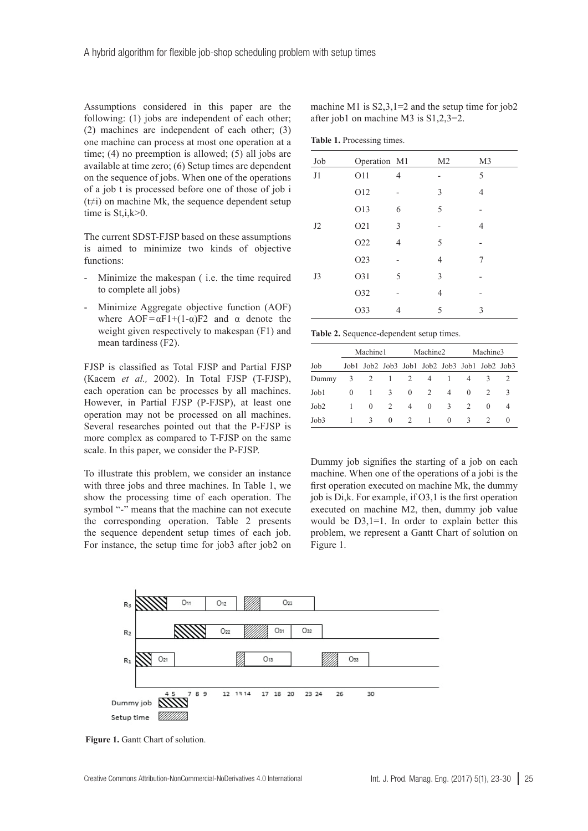Assumptions considered in this paper are the following: (1) jobs are independent of each other; (2) machines are independent of each other; (3) one machine can process at most one operation at a time; (4) no preemption is allowed; (5) all jobs are available at time zero; (6) Setup times are dependent on the sequence of jobs. When one of the operations of a job t is processed before one of those of job i  $(t\neq i)$  on machine Mk, the sequence dependent setup time is St, i, k>0.

The current SDST-FJSP based on these assumptions is aimed to minimize two kinds of objective functions:

- Minimize the makespan (i.e. the time required to complete all jobs)
- Minimize Aggregate objective function (AOF) where  $\text{AOF} = \alpha \text{F}1 + (1 - \alpha) \text{F}2$  and  $\alpha$  denote the weight given respectively to makespan (F1) and mean tardiness (F2).

FJSP is classified as Total FJSP and Partial FJSP (Kacem *et al.,* 2002). In Total FJSP (T-FJSP), each operation can be processes by all machines. However, in Partial FJSP (P-FJSP), at least one operation may not be processed on all machines. Several researches pointed out that the P-FJSP is more complex as compared to T-FJSP on the same scale. In this paper, we consider the P-FJSP.

To illustrate this problem, we consider an instance with three jobs and three machines. In Table 1, we show the processing time of each operation. The symbol "-" means that the machine can not execute the corresponding operation. Table 2 presents the sequence dependent setup times of each job. For instance, the setup time for job3 after job2 on machine M1 is  $S2,3,1=2$  and the setup time for  $i$ ob2 after job1 on machine M3 is S1,2,3=2.

**Table 1.** Processing times.

| Job | Operation M1    |                | M <sub>2</sub> | M <sub>3</sub> |
|-----|-----------------|----------------|----------------|----------------|
| J1  | <b>O11</b>      | 4              |                | 5              |
|     | O12             |                | 3              | $\overline{4}$ |
|     | O13             | 6              | 5              |                |
| J2  | O <sub>21</sub> | 3              |                | $\overline{4}$ |
|     | O22             | $\overline{4}$ | 5              |                |
|     | O23             |                | $\overline{4}$ | 7              |
| J3  | O31             | 5              | 3              |                |
|     | O32             |                | 4              |                |
|     | O33             | 4              | 5              | 3              |

**Table 2.** Sequence-dependent setup times.

|                  | Machine1 |               | Machine2 |          |                                              | Machine3       |                               |               |          |
|------------------|----------|---------------|----------|----------|----------------------------------------------|----------------|-------------------------------|---------------|----------|
| Job              |          |               |          |          | Job1 Job2 Job3 Job1 Job2 Job3 Job1 Job2 Job3 |                |                               |               |          |
| Dummy            | 3        | 2             | -1       | 2        | $\overline{4}$                               |                | $\overline{4}$                | 3             |          |
| Job1             | $\Omega$ |               | 3        | $\Omega$ | 2                                            | $\overline{4}$ | $\Omega$                      | $\mathcal{D}$ | 3        |
| Job <sub>2</sub> |          | $\Omega$      | 2        | 4        | $\theta$                                     | $\mathcal{R}$  | $\mathfrak{D}_{\mathfrak{p}}$ | $\Omega$      | 4        |
| Job3             |          | $\mathcal{R}$ | $\Omega$ | 2        | -1                                           | $\Omega$       | 3                             | $\mathcal{P}$ | $\theta$ |

Dummy job signifies the starting of a job on each machine. When one of the operations of a jobi is the first operation executed on machine Mk, the dummy job is Di,k. For example, if O3,1 is the first operation executed on machine M2, then, dummy job value would be  $D3,1=1$ . In order to explain better this problem, we represent a Gantt Chart of solution on Figure 1.



Figure 1. Gantt Chart of solution.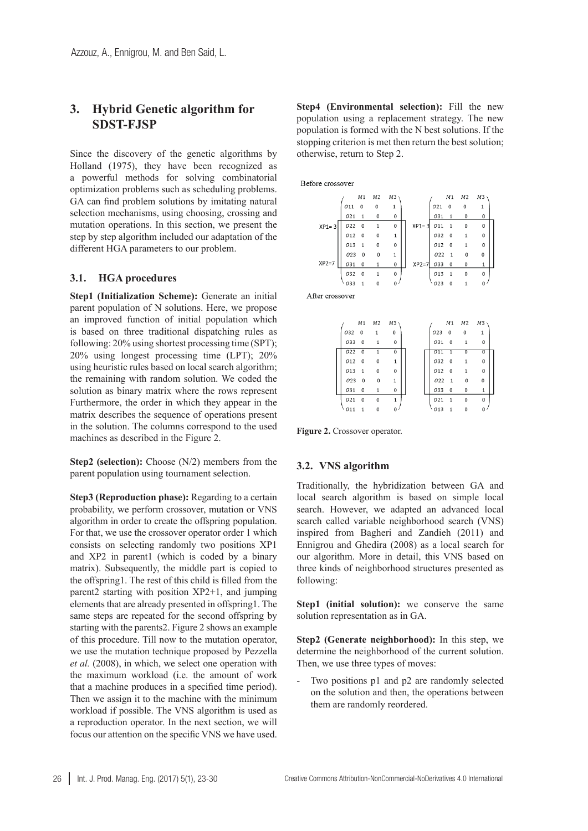## **3. Hybrid Genetic algorithm for SDST-FJSP**

Since the discovery of the genetic algorithms by Holland (1975), they have been recognized as a powerful methods for solving combinatorial optimization problems such as scheduling problems. GA can find problem solutions by imitating natural selection mechanisms, using choosing, crossing and mutation operations. In this section, we present the step by step algorithm included our adaptation of the different HGA parameters to our problem.

#### **3.1. HGA procedures**

**Step1 (Initialization Scheme):** Generate an initial parent population of N solutions. Here, we propose an improved function of initial population which is based on three traditional dispatching rules as following: 20% using shortest processing time (SPT); 20% using longest processing time (LPT); 20% using heuristic rules based on local search algorithm; the remaining with random solution. We coded the solution as binary matrix where the rows represent Furthermore, the order in which they appear in the matrix describes the sequence of operations present in the solution. The columns correspond to the used machines as described in the Figure 2.

**Step2 (selection):** Choose (N/2) members from the parent population using tournament selection.

**Step3 (Reproduction phase):** Regarding to a certain probability, we perform crossover, mutation or VNS algorithm in order to create the offspring population. For that, we use the crossover operator order 1 which consists on selecting randomly two positions XP1 and XP2 in parent1 (which is coded by a binary matrix). Subsequently, the middle part is copied to the offspring1. The rest of this child is filled from the parent2 starting with position XP2+1, and jumping elements that are already presented in offspring1. The same steps are repeated for the second offspring by starting with the parents2. Figure 2 shows an example of this procedure. Till now to the mutation operator, we use the mutation technique proposed by Pezzella *et al.* (2008), in which, we select one operation with the maximum workload (i.e. the amount of work that a machine produces in a specified time period). Then we assign it to the machine with the minimum workload if possible. The VNS algorithm is used as a reproduction operator. In the next section, we will focus our attention on the specific VNS we have used.

**Step4 (Environmental selection):** Fill the new population using a replacement strategy. The new population is formed with the N best solutions. If the stopping criterion is met then return the best solution; otherwise, return to Step 2.

Refore crossover



After crossover

|     |              | M1 M2 M3     |              |      |                         | M1 M2 M3 |   |
|-----|--------------|--------------|--------------|------|-------------------------|----------|---|
| 032 | 0            | 1            | 0            | 023  | 0                       | $\Omega$ | 1 |
| 033 | 0            | 1            | $\mathbf{0}$ | 031  | $\overline{\mathbf{0}}$ | 1        | 0 |
| 022 | $\mathbf 0$  |              | 0            | 7711 |                         |          | ο |
| 012 | 0            | 0            | $\mathbf{1}$ | 032  | 0                       |          | 0 |
| 013 | $\mathbf{1}$ | $\mathbf{0}$ | 0            | 012  | $\overline{0}$          | 1        | 0 |
| 023 | 0            | 0            | $\mathbf{1}$ | 022  | $\overline{1}$          | 0        | 0 |
| 031 | 0            |              | 0            | 033  | 0                       | $\bf{0}$ | 1 |
| 021 | $\bf{0}$     | $\Omega$     | $\mathbf{1}$ | 021  | $\overline{1}$          | $\bf{0}$ | 0 |
|     |              |              |              | 013  |                         |          | 0 |

**Figure 2.** Crossover operator.

#### **3.2. VNS algorithm**

Traditionally, the hybridization between GA and local search algorithm is based on simple local search. However, we adapted an advanced local search called variable neighborhood search (VNS) inspired from Bagheri and Zandieh (2011) and Ennigrou and Ghedira (2008) as a local search for our algorithm. More in detail, this VNS based on three kinds of neighborhood structures presented as following:

**Step1 (initial solution):** we conserve the same solution representation as in GA.

**Step2 (Generate neighborhood):** In this step, we determine the neighborhood of the current solution. Then, we use three types of moves:

Two positions p1 and p2 are randomly selected on the solution and then, the operations between them are randomly reordered.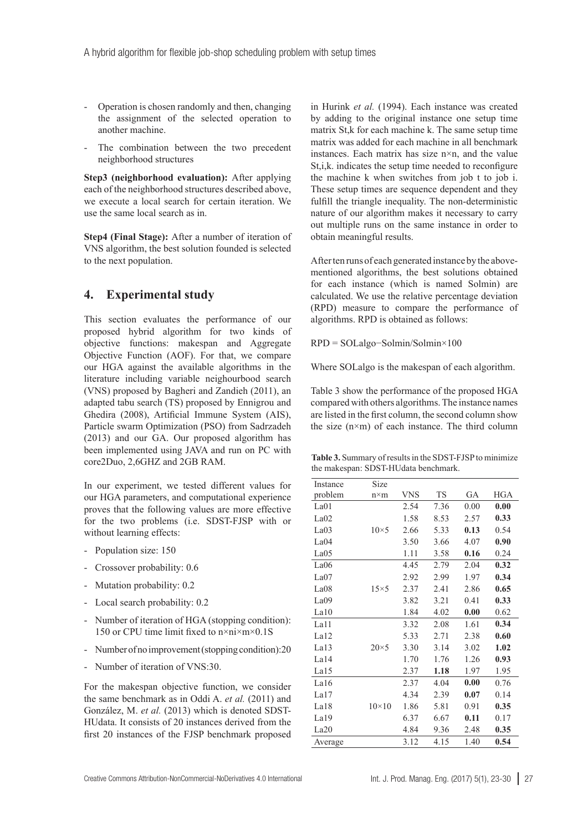- Operation is chosen randomly and then, changing the assignment of the selected operation to another machine.
- The combination between the two precedent neighborhood structures

**Step3 (neighborhood evaluation):** After applying each of the neighborhood structures described above, we execute a local search for certain iteration. We use the same local search as in.

**Step4 (Final Stage):** After a number of iteration of VNS algorithm, the best solution founded is selected to the next population.

### **4. Experimental study**

This section evaluates the performance of our proposed hybrid algorithm for two kinds of objective functions: makespan and Aggregate Objective Function (AOF). For that, we compare our HGA against the available algorithms in the literature including variable neighourbood search (VNS) proposed by Bagheri and Zandieh (2011), an adapted tabu search (TS) proposed by Ennigrou and Ghedira (2008), Artificial Immune System (AIS), Particle swarm Optimization (PSO) from Sadrzadeh (2013) and our GA. Our proposed algorithm has been implemented using JAVA and run on PC with core2Duo, 2,6GHZ and 2GB RAM.

In our experiment, we tested different values for our HGA parameters, and computational experience proves that the following values are more effective for the two problems (i.e. SDST-FJSP with or without learning effects:

- Population size: 150
- Crossover probability: 0.6
- Mutation probability: 0.2
- Local search probability: 0.2
- Number of iteration of HGA (stopping condition): 150 or CPU time limit fixed to n×ni×m×0.1S
- Number of no improvement (stopping condition):20
- Number of iteration of VNS:30.

For the makespan objective function, we consider the same benchmark as in Oddi A. *et al.* (2011) and González, M. *et al.* (2013) which is denoted SDST-HUdata. It consists of 20 instances derived from the first 20 instances of the FJSP benchmark proposed

in Hurink *et al.* (1994). Each instance was created by adding to the original instance one setup time matrix St,k for each machine k. The same setup time matrix was added for each machine in all benchmark instances. Each matrix has size n×n, and the value St,i,k. indicates the setup time needed to reconfigure the machine k when switches from job t to job i. These setup times are sequence dependent and they fulfill the triangle inequality. The non-deterministic nature of our algorithm makes it necessary to carry out multiple runs on the same instance in order to obtain meaningful results.

After ten runs of each generated instance by the abovementioned algorithms, the best solutions obtained for each instance (which is named Solmin) are calculated. We use the relative percentage deviation (RPD) measure to compare the performance of algorithms. RPD is obtained as follows:

RPD = SOLalgo−Solmin/Solmin×100

Where SOLalgo is the makespan of each algorithm.

Table 3 show the performance of the proposed HGA compared with others algorithms. The instance names are listed in the first column, the second column show the size (n×m) of each instance. The third column

**Table 3.** Summary of results in the SDST-FJSP to minimize the makespan: SDST-HUdata benchmark.

| Instance | Size         |            |           |      |            |
|----------|--------------|------------|-----------|------|------------|
| problem  | $n \times m$ | <b>VNS</b> | <b>TS</b> | GA   | <b>HGA</b> |
| La01     |              | 2.54       | 7.36      | 0.00 | 0.00       |
| La02     |              | 1.58       | 8.53      | 2.57 | 0.33       |
| La03     | $10\times 5$ | 2.66       | 5.33      | 0.13 | 0.54       |
| La04     |              | 3.50       | 3.66      | 4.07 | 0.90       |
| La05     |              | 1.11       | 3.58      | 0.16 | 0.24       |
| La06     |              | 4.45       | 2.79      | 2.04 | 0.32       |
| La07     |              | 2.92       | 2.99      | 1.97 | 0.34       |
| La08     | $15\times5$  | 2.37       | 2.41      | 2.86 | 0.65       |
| La09     |              | 3.82       | 3.21      | 0.41 | 0.33       |
| La10     |              | 1.84       | 4.02      | 0.00 | 0.62       |
| La11     |              | 3.32       | 2.08      | 1.61 | 0.34       |
| La12     |              | 5.33       | 2.71      | 2.38 | 0.60       |
| La13     | $20\times 5$ | 3.30       | 3.14      | 3.02 | 1.02       |
| La14     |              | 1.70       | 1.76      | 1.26 | 0.93       |
| La15     |              | 2.37       | 1.18      | 1.97 | 1.95       |
| La16     |              | 2.37       | 4.04      | 0.00 | 0.76       |
| La17     |              | 4.34       | 2.39      | 0.07 | 0.14       |
| La18     | $10\times10$ | 1.86       | 5.81      | 0.91 | 0.35       |
| La19     |              | 6.37       | 6.67      | 0.11 | 0.17       |
| La20     |              | 4.84       | 9.36      | 2.48 | 0.35       |
| Average  |              | 3.12       | 4.15      | 1.40 | 0.54       |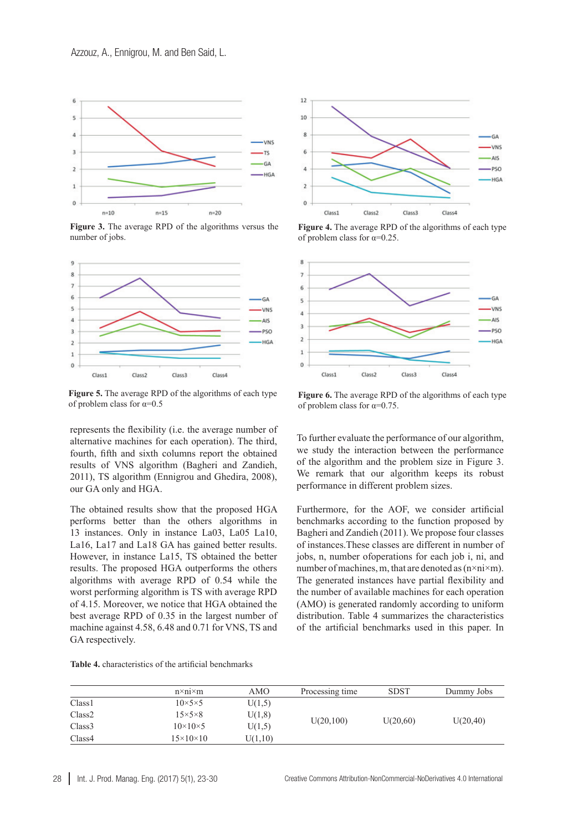

**Figure 3.** The average RPD of the algorithms versus the number of jobs.



**Figure 5.** The average RPD of the algorithms of each type of problem class for  $\alpha=0.5$ 

represents the flexibility (i.e. the average number of alternative machines for each operation). The third, fourth, fifth and sixth columns report the obtained results of VNS algorithm (Bagheri and Zandieh, 2011), TS algorithm (Ennigrou and Ghedira, 2008), our GA only and HGA.

The obtained results show that the proposed HGA performs better than the others algorithms in 13 instances. Only in instance La03, La05 La10, La16, La17 and La18 GA has gained better results. However, in instance La15, TS obtained the better results. The proposed HGA outperforms the others algorithms with average RPD of 0.54 while the worst performing algorithm is TS with average RPD of 4.15. Moreover, we notice that HGA obtained the best average RPD of 0.35 in the largest number of machine against 4.58, 6.48 and 0.71 for VNS, TS and GA respectively.



**Figure 4.** The average RPD of the algorithms of each type of problem class for  $\alpha=0.25$ .



**Figure 6.** The average RPD of the algorithms of each type of problem class for  $\alpha=0.75$ .

To further evaluate the performance of our algorithm, we study the interaction between the performance of the algorithm and the problem size in Figure 3. We remark that our algorithm keeps its robust performance in different problem sizes.

Furthermore, for the AOF, we consider artificial benchmarks according to the function proposed by Bagheri and Zandieh (2011). We propose four classes of instances.These classes are different in number of jobs, n, number ofoperations for each job i, ni, and number of machines, m, that are denoted as  $(n \times n \times m)$ . The generated instances have partial flexibility and the number of available machines for each operation (AMO) is generated randomly according to uniform distribution. Table 4 summarizes the characteristics of the artificial benchmarks used in this paper. In

|                    | $n \times n \times m$ | AMO     | Processing time | <b>SDST</b> | Dummy Jobs |
|--------------------|-----------------------|---------|-----------------|-------------|------------|
| Class <sub>1</sub> | $10\times5\times5$    | U(1,5)  |                 |             |            |
| Class <sub>2</sub> | $15\times5\times8$    | U(1,8)  |                 |             |            |
| Class <sub>3</sub> | $10\times10\times5$   | U(1,5)  | U(20,100)       | U(20,60)    | U(20, 40)  |
| Class4             | $15\times10\times10$  | U(1,10) |                 |             |            |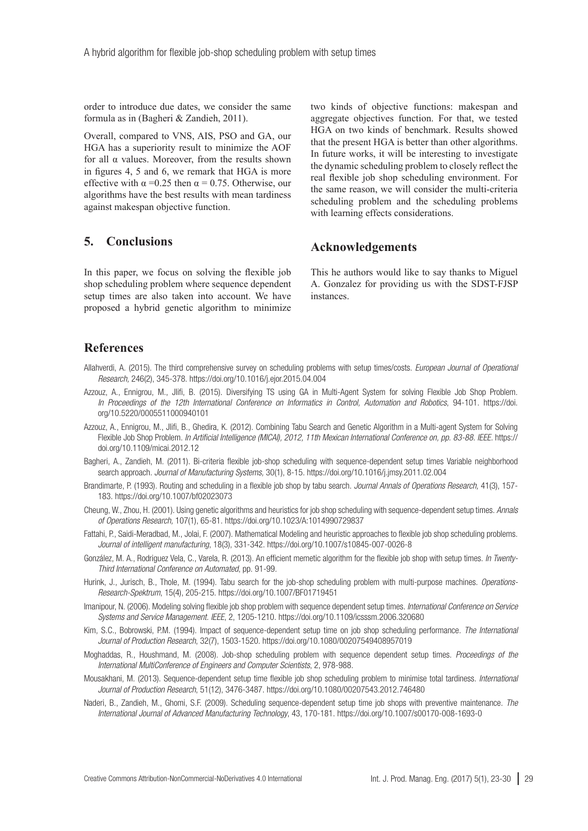order to introduce due dates, we consider the same formula as in (Bagheri & Zandieh, 2011).

Overall, compared to VNS, AIS, PSO and GA, our HGA has a superiority result to minimize the AOF for all  $\alpha$  values. Moreover, from the results shown in figures 4, 5 and 6, we remark that HGA is more effective with  $\alpha = 0.25$  then  $\alpha = 0.75$ . Otherwise, our algorithms have the best results with mean tardiness against makespan objective function.

### **5. Conclusions**

In this paper, we focus on solving the flexible job shop scheduling problem where sequence dependent setup times are also taken into account. We have proposed a hybrid genetic algorithm to minimize

two kinds of objective functions: makespan and aggregate objectives function. For that, we tested HGA on two kinds of benchmark. Results showed that the present HGA is better than other algorithms. In future works, it will be interesting to investigate the dynamic scheduling problem to closely reflect the real flexible job shop scheduling environment. For the same reason, we will consider the multi-criteria scheduling problem and the scheduling problems with learning effects considerations.

### **Acknowledgements**

This he authors would like to say thanks to Miguel A. Gonzalez for providing us with the SDST-FJSP instances.

## **References**

- Allahverdi, A. (2015). The third comprehensive survey on scheduling problems with setup times/costs. *European Journal of Operational Research,* 246(2), 345-378. <https://doi.org/10.1016/j.ejor.2015.04.004>
- Azzouz, A., Ennigrou, M., Jlifi, B. (2015). Diversifying TS using GA in Multi-Agent System for solving Flexible Job Shop Problem. *In Proceedings of the 12th International Conference on Informatics in Control, Automation and Robotics*, 94-101. [https://doi.](https://doi.org/10.5220/0005511000940101) [org/10.5220/0005511000940101](https://doi.org/10.5220/0005511000940101)
- Azzouz, A., Ennigrou, M., Jlifi, B., Ghedira, K. (2012). Combining Tabu Search and Genetic Algorithm in a Multi-agent System for Solving Flexible Job Shop Problem. *In Artificial Intelligence (MICAI), 2012, 11th Mexican International Conference on, pp. 83-88. IEEE.* [https://](https://doi.org/10.1109/micai.2012.12) [doi.org/10.1109/micai.2012.12](https://doi.org/10.1109/micai.2012.12)
- Bagheri, A., Zandieh, M. (2011). Bi-criteria flexible job-shop scheduling with sequence-dependent setup times Variable neighborhood search approach. *Journal of Manufacturing Systems,* 30(1), 8-15. <https://doi.org/10.1016/j.jmsy.2011.02.004>
- Brandimarte, P. (1993). Routing and scheduling in a flexible job shop by tabu search. *Journal Annals of Operations Research,* 41(3), 157- 183.<https://doi.org/10.1007/bf02023073>
- Cheung, W., Zhou, H. (2001). Using genetic algorithms and heuristics for job shop scheduling with sequence-dependent setup times. *Annals of Operations Research,* 107(1), 65-81. <https://doi.org/10.1023/A:1014990729837>
- Fattahi, P., Saidi-Meradbad, M., Jolai, F. (2007). Mathematical Modeling and heuristic approaches to flexible job shop scheduling problems. *Journal of intelligent manufacturing*, 18(3), 331-342. <https://doi.org/10.1007/s10845-007-0026-8>
- González, M. A., Rodriguez Vela, C., Varela, R. (2013). An efficient memetic algorithm for the flexible job shop with setup times. *In Twenty-Third International Conference on Automated*, pp. 91-99.
- Hurink, J., Jurisch, B., Thole, M. (1994). Tabu search for the job-shop scheduling problem with multi-purpose machines. *Operations-Research-Spektrum*, 15(4), 205-215.<https://doi.org/10.1007/BF01719451>
- Imanipour, N. (2006). Modeling solving flexible job shop problem with sequence dependent setup times. *International Conference on Service Systems and Service Management. IEEE*, 2, 1205-1210.<https://doi.org/10.1109/icsssm.2006.320680>
- Kim, S.C., Bobrowski, P.M. (1994). Impact of sequence-dependent setup time on job shop scheduling performance. *The International Journal of Production Research*, 32(7), 1503-1520. <https://doi.org/10.1080/00207549408957019>
- Moghaddas, R., Houshmand, M. (2008). Job-shop scheduling problem with sequence dependent setup times. *Proceedings of the International MultiConference of Engineers and Computer Scientists*, 2, 978-988.
- Mousakhani, M. (2013). Sequence-dependent setup time flexible job shop scheduling problem to minimise total tardiness. *International Journal of Production Research*, 51(12), 3476-3487.<https://doi.org/10.1080/00207543.2012.746480>
- Naderi, B., Zandieh, M., Ghomi, S.F. (2009). Scheduling sequence-dependent setup time job shops with preventive maintenance. *The International Journal of Advanced Manufacturing Technology*, 43, 170-181. <https://doi.org/10.1007/s00170-008-1693-0>